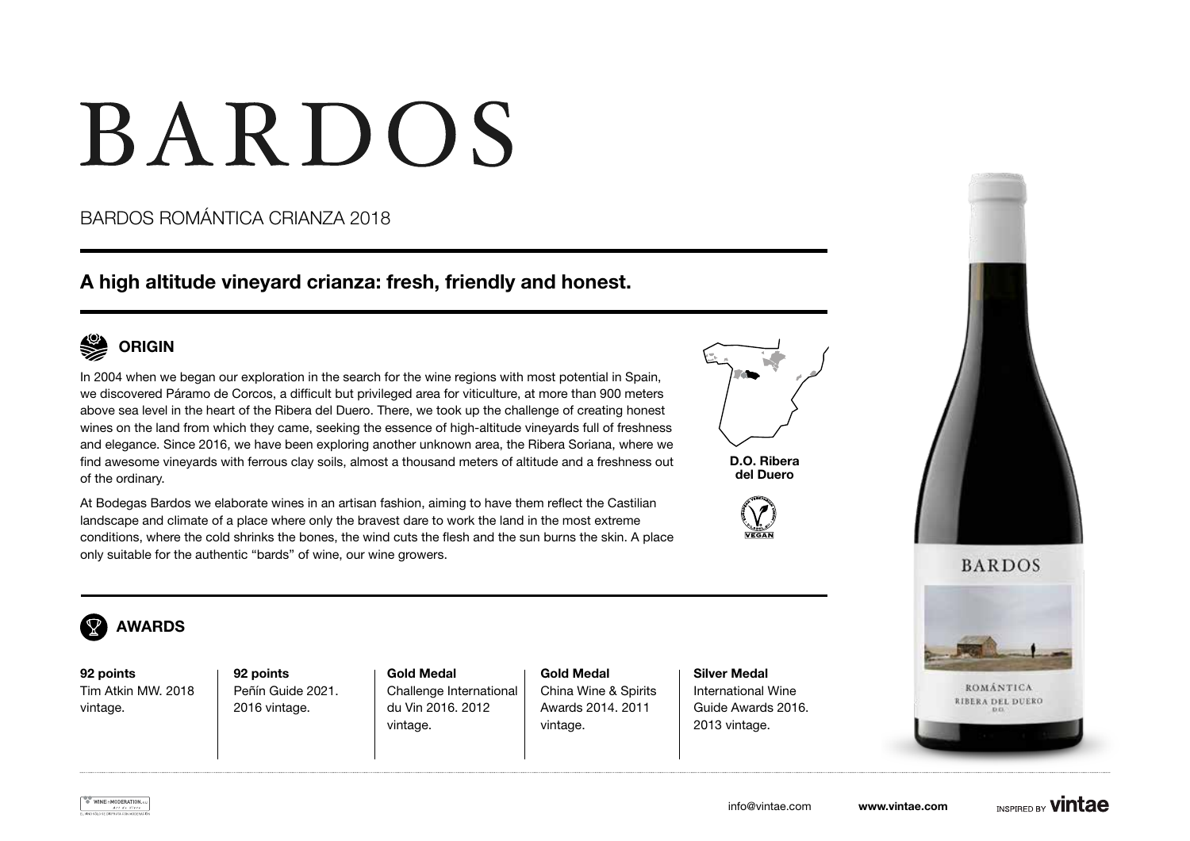# **BARDOS**

## BARDOS ROMÁNTICA CRIANZA 2018

## A high altitude vineyard crianza: fresh, friendly and honest.



In 2004 when we began our exploration in the search for the wine regions with most potential in Spain, we discovered Páramo de Corcos, a difficult but privileged area for viticulture, at more than 900 meters above sea level in the heart of the Ribera del Duero. There, we took up the challenge of creating honest wines on the land from which they came, seeking the essence of high-altitude vineyards full of freshness and elegance. Since 2016, we have been exploring another unknown area, the Ribera Soriana, where we find awesome vineyards with ferrous clay soils, almost a thousand meters of altitude and a freshness out of the ordinary.

At Bodegas Bardos we elaborate wines in an artisan fashion, aiming to have them reflect the Castilian landscape and climate of a place where only the bravest dare to work the land in the most extreme conditions, where the cold shrinks the bones, the wind cuts the flesh and the sun burns the skin. A place only suitable for the authentic "bards" of wine, our wine growers.



D.O. Ribera del Duero









92 points Tim Atkin MW. 2018 vintage.

92 points Peñín Guide 2021. 2016 vintage.

Gold Medal Challenge International du Vin 2016. 2012 vintage.

Gold Medal China Wine & Spirits Awards 2014. 2011 vintage.

Silver Medal International Wine Guide Awards 2016. 2013 vintage.